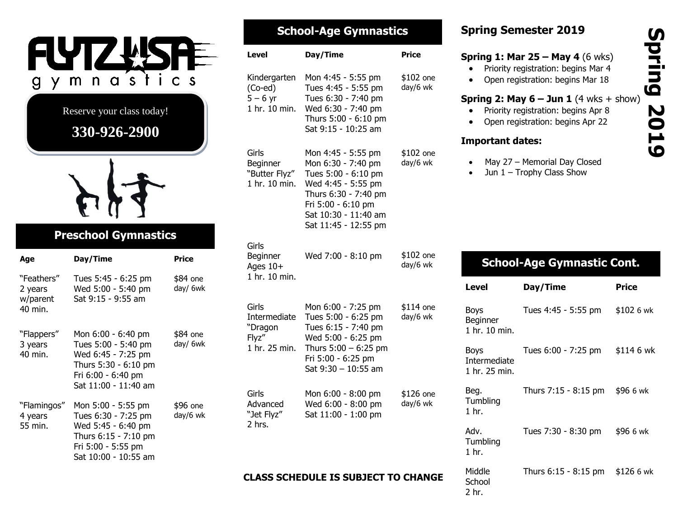

| <b>School-Age Gymnastics</b>                               |                                                                                                                                                                                     |                       |  |  |
|------------------------------------------------------------|-------------------------------------------------------------------------------------------------------------------------------------------------------------------------------------|-----------------------|--|--|
| Level                                                      | Day/Time                                                                                                                                                                            | <b>Price</b>          |  |  |
| Kindergarten<br>$(Co$ -ed)<br>$5 - 6$ yr<br>1 hr. 10 min.  | Mon 4:45 - 5:55 pm<br>Tues 4:45 - 5:55 pm<br>Tues 6:30 - 7:40 pm<br>Wed 6:30 - 7:40 pm<br>Thurs 5:00 - 6:10 pm<br>Sat 9:15 - 10:25 am                                               | \$102 one<br>day/6 wk |  |  |
| Girls<br>Beginner<br>"Butter Flyz"<br>1 hr. 10 min.        | Mon 4:45 - 5:55 pm<br>Mon 6:30 - 7:40 pm<br>Tues 5:00 - 6:10 pm<br>Wed 4:45 - 5:55 pm<br>Thurs 6:30 - 7:40 pm<br>Fri 5:00 - 6:10 pm<br>Sat 10:30 - 11:40 am<br>Sat 11:45 - 12:55 pm | \$102 one<br>day/6 wk |  |  |
| Girls<br>Beginner<br>Ages 10+<br>1 hr. 10 min.             | Wed 7:00 - 8:10 pm                                                                                                                                                                  | \$102 one<br>day/6 wk |  |  |
| Girls<br>Intermediate<br>"Dragon<br>Flyz"<br>1 hr. 25 min. | Mon 6:00 - 7:25 pm<br>Tues 5:00 - 6:25 pm<br>Tues 6:15 - 7:40 pm<br>Wed 5:00 - 6:25 pm<br>Thurs $5:00 - 6:25$ pm<br>Fri 5:00 - 6:25 pm<br>Sat 9:30 - 10:55 am                       | \$114 one<br>day/6 wk |  |  |
| Girls<br>Advanced<br>"Jet Flyz"<br>$2$ hrs.                | Mon 6:00 - 8:00 pm<br>Wed 6:00 - 8:00 pm<br>Sat 11:00 - 1:00 pm                                                                                                                     | \$126 one<br>day/6 wk |  |  |

#### **CLASS SCHEDULE IS SUBJECT TO CHANGE**

# **Spring Semester 2019**

#### **Spring 1: Mar 25 – May 4** (6 wks)

- Priority registration: begins Mar 4
- Open registration: begins Mar 18

## **Spring 2: May 6 – Jun 1** (4 wks + show)

- Priority registration: begins Apr 8
- Open registration: begins Apr 22

## **Important dates:**

- May 27 Memorial Day Closed
- Jun 1 Trophy Class Show

|                                              | <b>School-Age Gymnastic Cont.</b> |            |  |
|----------------------------------------------|-----------------------------------|------------|--|
| Level                                        | Day/Time                          | Price      |  |
| <b>Boys</b><br>Beginner<br>1 hr. 10 min.     | Tues 4:45 - 5:55 pm               | \$102 6 wk |  |
| <b>Boys</b><br>Intermediate<br>1 hr. 25 min. | Tues 6:00 - 7:25 pm               | \$114 6 wk |  |
| Beg.<br>Tumbling<br>1 <sub>hr.</sub>         | Thurs 7:15 - 8:15 pm              | \$96 6 wk  |  |
| Adv.<br>Tumbling<br>1 <sub>hr.</sub>         | Tues 7:30 - 8:30 pm               | \$96 6 wk  |  |
| Middle<br>School<br>2 hr.                    | Thurs 6:15 - 8:15 pm              | \$126 6 wk |  |